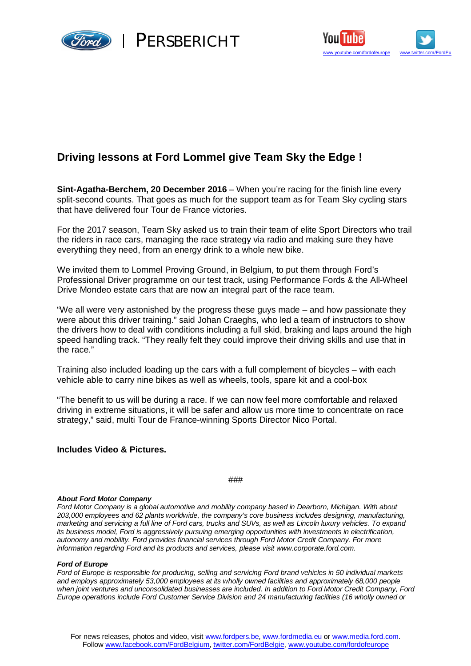



# **Driving lessons at Ford Lommel give Team Sky the Edge !**

**Sint-Agatha-Berchem, 20 December 2016** – When you're racing for the finish line every split-second counts. That goes as much for the support team as for Team Sky cycling stars that have delivered four Tour de France victories.

For the 2017 season, Team Sky asked us to train their team of elite Sport Directors who trail the riders in race cars, managing the race strategy via radio and making sure they have everything they need, from an energy drink to a whole new bike.

We invited them to Lommel Proving Ground, in Belgium, to put them through Ford's Professional Driver programme on our test track, using Performance Fords & the All-Wheel Drive Mondeo estate cars that are now an integral part of the race team.

"We all were very astonished by the progress these guys made – and how passionate they were about this driver training." said Johan Craeghs, who led a team of instructors to show the drivers how to deal with conditions including a full skid, braking and laps around the high speed handling track. "They really felt they could improve their driving skills and use that in the race."

Training also included loading up the cars with a full complement of bicycles – with each vehicle able to carry nine bikes as well as wheels, tools, spare kit and a cool-box

"The benefit to us will be during a race. If we can now feel more comfortable and relaxed driving in extreme situations, it will be safer and allow us more time to concentrate on race strategy," said, multi Tour de France-winning Sports Director Nico Portal.

## **Includes Video & Pictures.**

###

#### *About Ford Motor Company*

*Ford Motor Company is a global automotive and mobility company based in Dearborn, Michigan. With about 203,000 employees and 62 plants worldwide, the company's core business includes designing, manufacturing, marketing and servicing a full line of Ford cars, trucks and SUVs, as well as Lincoln luxury vehicles. To expand its business model, Ford is aggressively pursuing emerging opportunities with investments in electrification, autonomy and mobility. Ford provides financial services through Ford Motor Credit Company. For more information regarding Ford and its products and services, please visit [www.corporate.ford.com.](http://www.corporate.ford.com.)*

#### *Ford of Europe*

*Ford of Europe is responsible for producing, selling and servicing Ford brand vehicles in 50 individual markets and employs approximately 53,000 employees at its wholly owned facilities and approximately 68,000 people when joint ventures and unconsolidated businesses are included. In addition to Ford Motor Credit Company, Ford Europe operations include Ford Customer Service Division and 24 manufacturing facilities (16 wholly owned or*